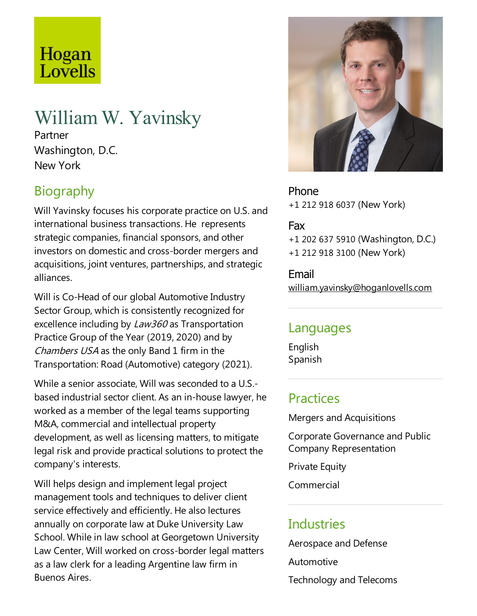# Hogan Lovells

# William W. Yavinsky

Partner Washington, D.C. New York

# **Biography**

Will Yavinsky focuses his corporate practice on U.S. and international business transactions. He represents strategic companies, financial sponsors, and other investors on domestic and cross-border mergers and acquisitions, joint ventures, partnerships, and strategic alliances.

Will is Co-Head of our global Automotive Industry Sector Group, which is consistently recognized for excellence including by  $Law360$  as Transportation Practice Group of the Year (2019, 2020) and by Chambers USA as the only Band 1 firm in the Transportation: Road (Automotive) category (2021).

While a senior associate, Will was seconded to a U.S.based industrial sector client. As an in-houselawyer, he worked as a member of the legal teams supporting M&A,commercial and intellectual property development, as well as licensing matters, to mitigate legal risk and provide practical solutions to protect the company's interests.

Will helps design and implement legal project management tools and techniques to deliver client service effectively and efficiently. He also lectures annually on corporate law at Duke University Law School. While in law school at Georgetown University Law Center, Will worked on cross-border legal matters as a law clerk for a leading Argentine law firm in Buenos Aires.



Phone +1 212 918 6037 (New York)

#### Fax

+1 202 637 5910 (Washington, D.C.) +1 212 918 3100 (New York)

Email william.yavinsky@hoganlovells.com

#### Languages

English Spanish

### **Practices**

Mergers and Acquisitions

Corporate Governanceand Public Company Representation

**Private Equity** 

Commercial

## **Industries**

Aerospace and Defense Automotive

Technology and Telecoms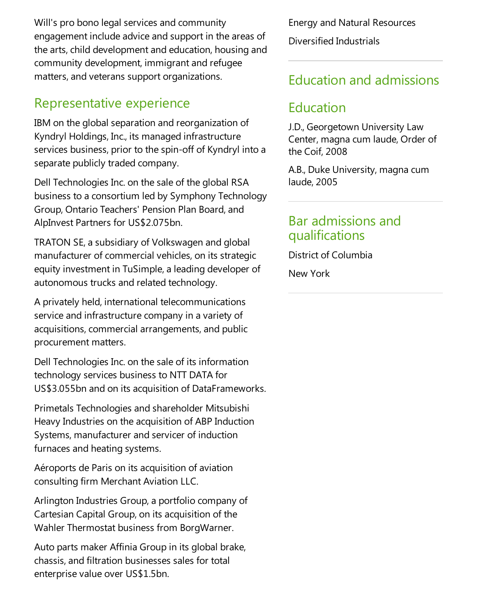Will's pro bono legal services and community engagement include advice and support in the areas of the arts, child development and education, housing and community development, immigrant and refugee matters, and veterans support organizations.

#### Representative experience

IBM on the global separation and reorganization of Kyndryl Holdings, Inc., its managed infrastructure services business, prior to the spin-off of Kyndryl into a separate publicly traded company.

Dell Technologies Inc. on the sale of the global RSA business to a consortium led by Symphony Technology Group, Ontario Teachers' Pension Plan Board, and AlpInvest Partners for US\$2.075bn.

TRATON SE, a subsidiary of Volkswagen and global manufacturer of commercial vehicles, on its strategic equity investment in TuSimple, a leading developer of autonomous trucks and related technology.

A privately held, international telecommunications service and infrastructure company in a variety of acquisitions, commercial arrangements, and public procurement matters.

Dell Technologies Inc. on the sale of its information technology services business to NTT DATA for US\$3.055bn and on its acquisition of DataFrameworks.

Primetals Technologies and shareholder Mitsubishi Heavy Industries on the acquisition of ABP Induction Systems, manufacturer and servicer of induction furnaces and heating systems.

Aéroports de Paris on its acquisition of aviation consulting firm Merchant Aviation LLC.

Arlington Industries Group, a portfolio company of Cartesian Capital Group, on its acquisition of the Wahler Thermostat business from BorgWarner.

Auto parts maker Affinia Group in its global brake, chassis,and filtration businesses sales for total enterprise value over US\$1.5bn.

Energy and Natural Resources Diversified Industrials

### Education and admissions

### Education

J.D., Georgetown University Law Center, magna cum laude, Order of the Coif, 2008

A.B., Duke University, magna cum laude, 2005

#### Bar admissions and qualifications

District of Columbia New York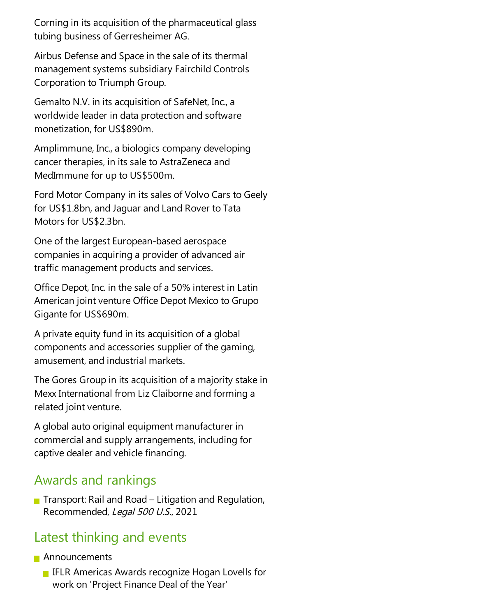Corning in its acquisition of the pharmaceutical glass tubing business of Gerresheimer AG.

Airbus Defense and Space in the sale of its thermal management systems subsidiary Fairchild Controls Corporation to Triumph Group.

Gemalto N.V. in its acquisition of SafeNet, Inc., a worldwide leader in data protection and software monetization, for US\$890m.

Amplimmune, Inc., a biologics company developing cancer therapies, in its sale to AstraZeneca and MedImmune for up to US\$500m.

Ford Motor Company in its sales of Volvo Cars to Geely for US\$1.8bn, and Jaguar and Land Rover to Tata Motors for US\$2.3bn.

One of the largest European-based aerospace companies in acquiring a provider of advanced air traffic management products and services.

Office Depot, Inc. in the sale of a 50% interest in Latin American joint venture Office Depot Mexico to Grupo Gigante for US\$690m.

A private equity fund in its acquisition of a global components and accessories supplier of the gaming, amusement,and industrial markets.

The Gores Group in its acquisition of a majority stake in Mexx International from Liz Claiborne and forming a related joint venture.

A global auto original equipment manufacturer in commercial and supply arrangements, including for captive dealer and vehicle financing.

#### Awards and rankings

**The Transport: Rail and Road – Litigation and Regulation,** Recommended, Legal 500 U.S., 2021

## Latest thinking and events

#### **Announcements**

**IFLR Americas Awards recognize Hogan Lovells for** work on 'Project Finance Deal of the Year'